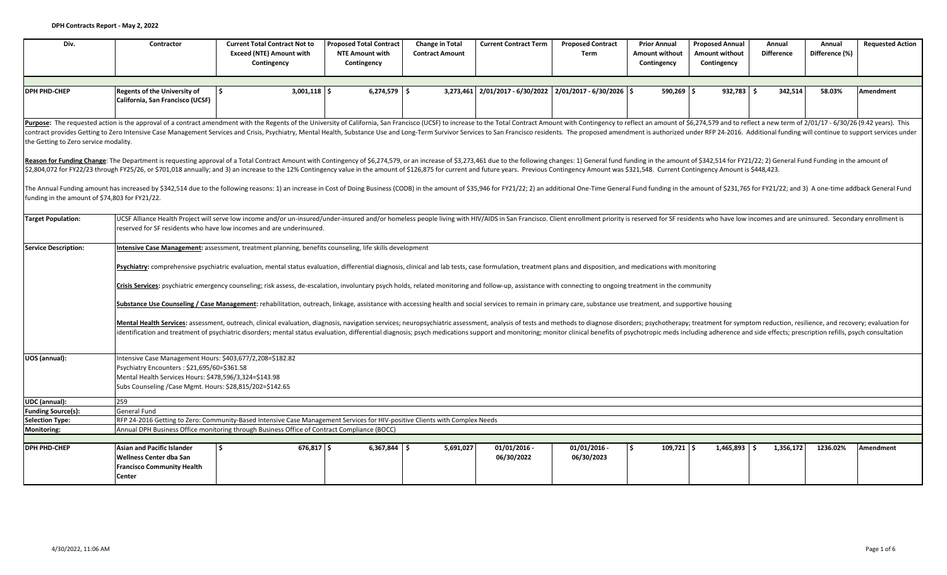| Div.                                           | Contractor                                                                                                                                                                                                                      | <b>Current Total Contract Not to</b><br><b>Exceed (NTE) Amount with</b><br>Contingency                                                                                                                                                                                                                                                                                                                                                                                 | <b>Proposed Total Contract</b><br><b>NTE Amount with</b><br>Contingency | <b>Change in Total</b><br><b>Contract Amount</b> | <b>Current Contract Term</b> | <b>Proposed Contract</b><br>Term                              | <b>Prior Annual</b><br><b>Amount without</b><br>Contingency | <b>Proposed Annual</b><br><b>Amount without</b><br>Contingency | Annual<br><b>Difference</b> | Annual<br>Difference (%) | <b>Requested Action</b> |  |  |  |
|------------------------------------------------|---------------------------------------------------------------------------------------------------------------------------------------------------------------------------------------------------------------------------------|------------------------------------------------------------------------------------------------------------------------------------------------------------------------------------------------------------------------------------------------------------------------------------------------------------------------------------------------------------------------------------------------------------------------------------------------------------------------|-------------------------------------------------------------------------|--------------------------------------------------|------------------------------|---------------------------------------------------------------|-------------------------------------------------------------|----------------------------------------------------------------|-----------------------------|--------------------------|-------------------------|--|--|--|
|                                                |                                                                                                                                                                                                                                 |                                                                                                                                                                                                                                                                                                                                                                                                                                                                        |                                                                         |                                                  |                              |                                                               |                                                             |                                                                |                             |                          |                         |  |  |  |
| <b>DPH PHD-CHEP</b>                            | <b>Regents of the University of</b><br>California, San Francisco (UCSF)                                                                                                                                                         | l s<br>$3,001,118$ \$                                                                                                                                                                                                                                                                                                                                                                                                                                                  | $6,274,579$ \$                                                          |                                                  |                              | $3,273,461$ $2/01/2017 - 6/30/2022$ $2/01/2017 - 6/30/2026$ 5 | $590,269$ \$                                                | $932.783$ \$                                                   | 342.514                     | 58.03%                   | <b>Amendment</b>        |  |  |  |
|                                                |                                                                                                                                                                                                                                 | Purpose: The requested action is the approval of a contract amendment with the Regents of the University of California, San Francisco (UCSF) to increase to the Total Contract Amount with Contingency to reflect an amount of                                                                                                                                                                                                                                         |                                                                         |                                                  |                              |                                                               |                                                             |                                                                |                             |                          |                         |  |  |  |
| the Getting to Zero service modality.          |                                                                                                                                                                                                                                 | contract provides Getting to Zero Intensive Case Management Services and Crisis, Psychiatry, Mental Health, Substance Use and Long-Term Survivor Services to San Francisco residents. The proposed amendment is authorized und                                                                                                                                                                                                                                         |                                                                         |                                                  |                              |                                                               |                                                             |                                                                |                             |                          |                         |  |  |  |
|                                                |                                                                                                                                                                                                                                 | Reason for Funding Change: The Department is requesting approval of a Total Contract Amount with Contingency of \$6,274,579, or an increase of \$3,273,461 due to the following changes: 1) General fund funding in the amount o<br>\$2,804,072 for FY22/23 through FY25/26, or \$701,018 annually; and 3) an increase to the 12% Contingency value in the amount of \$126,875 for current and future years. Previous Contingency Amount was \$321,548. Current Contin |                                                                         |                                                  |                              |                                                               |                                                             |                                                                |                             |                          |                         |  |  |  |
| funding in the amount of \$74,803 for FY21/22. |                                                                                                                                                                                                                                 | The Annual Funding amount has increased by \$342,514 due to the following reasons: 1) an increase in Cost of Doing Business (CODB) in the amount of \$35,946 for FY21/22; 2) an additional One-Time General Fund funding in the                                                                                                                                                                                                                                        |                                                                         |                                                  |                              |                                                               |                                                             |                                                                |                             |                          |                         |  |  |  |
| <b>Target Population:</b>                      |                                                                                                                                                                                                                                 | UCSF Alliance Health Project will serve low income and/or un-insured/under-insured and/or homeless people living with HIV/AIDS in San Francisco. Client enrollment priority is reserved for SF residents who have low incomes<br>reserved for SF residents who have low incomes and are underinsured.                                                                                                                                                                  |                                                                         |                                                  |                              |                                                               |                                                             |                                                                |                             |                          |                         |  |  |  |
| Service Description:                           | Intensive Case Management: assessment, treatment planning, benefits counseling, life skills development                                                                                                                         |                                                                                                                                                                                                                                                                                                                                                                                                                                                                        |                                                                         |                                                  |                              |                                                               |                                                             |                                                                |                             |                          |                         |  |  |  |
|                                                | Psychiatry: comprehensive psychiatric evaluation, mental status evaluation, differential diagnosis, clinical and lab tests, case formulation, treatment plans and disposition, and medications with monitoring                  |                                                                                                                                                                                                                                                                                                                                                                                                                                                                        |                                                                         |                                                  |                              |                                                               |                                                             |                                                                |                             |                          |                         |  |  |  |
|                                                |                                                                                                                                                                                                                                 | Crisis Services: psychiatric emergency counseling; risk assess, de-escalation, involuntary psych holds, related monitoring and follow-up, assistance with connecting to ongoing treatment in the community                                                                                                                                                                                                                                                             |                                                                         |                                                  |                              |                                                               |                                                             |                                                                |                             |                          |                         |  |  |  |
|                                                |                                                                                                                                                                                                                                 | Substance Use Counseling / Case Management: rehabilitation, outreach, linkage, assistance with accessing health and social services to remain in primary care, substance use treatment, and supportive housing                                                                                                                                                                                                                                                         |                                                                         |                                                  |                              |                                                               |                                                             |                                                                |                             |                          |                         |  |  |  |
|                                                |                                                                                                                                                                                                                                 | Mental Health Services: assessment, outreach, clinical evaluation, diagnosis, navigation services; neuropsychiatric assessment, analysis of tests and methods to diagnose disorders; psychotherapy; treatment for symptom redu<br>identification and treatment of psychiatric disorders; mental status evaluation, differential diagnosis; psych medications support and monitoring; monitor clinical benefits of psychotropic meds including adherence and side       |                                                                         |                                                  |                              |                                                               |                                                             |                                                                |                             |                          |                         |  |  |  |
| UOS (annual):                                  | Intensive Case Management Hours: \$403,677/2,208=\$182.82<br>Psychiatry Encounters: \$21,695/60=\$361.58<br>Mental Health Services Hours: \$478,596/3,324=\$143.98<br>Subs Counseling / Case Mgmt. Hours: \$28,815/202=\$142.65 |                                                                                                                                                                                                                                                                                                                                                                                                                                                                        |                                                                         |                                                  |                              |                                                               |                                                             |                                                                |                             |                          |                         |  |  |  |
| UDC (annual):                                  | 259                                                                                                                                                                                                                             |                                                                                                                                                                                                                                                                                                                                                                                                                                                                        |                                                                         |                                                  |                              |                                                               |                                                             |                                                                |                             |                          |                         |  |  |  |
| <b>Funding Source(s):</b>                      | <b>General Fund</b>                                                                                                                                                                                                             |                                                                                                                                                                                                                                                                                                                                                                                                                                                                        |                                                                         |                                                  |                              |                                                               |                                                             |                                                                |                             |                          |                         |  |  |  |
| Selection Type:                                |                                                                                                                                                                                                                                 | RFP 24-2016 Getting to Zero: Community-Based Intensive Case Management Services for HIV-positive Clients with Complex Needs                                                                                                                                                                                                                                                                                                                                            |                                                                         |                                                  |                              |                                                               |                                                             |                                                                |                             |                          |                         |  |  |  |
| Monitoring:                                    |                                                                                                                                                                                                                                 | Annual DPH Business Office monitoring through Business Office of Contract Compliance (BOCC)                                                                                                                                                                                                                                                                                                                                                                            |                                                                         |                                                  |                              |                                                               |                                                             |                                                                |                             |                          |                         |  |  |  |
|                                                |                                                                                                                                                                                                                                 |                                                                                                                                                                                                                                                                                                                                                                                                                                                                        |                                                                         |                                                  |                              |                                                               |                                                             |                                                                |                             |                          |                         |  |  |  |
| <b>DPH PHD-CHEP</b>                            | <b>Asian and Pacific Islander</b><br>Wellness Center dba San<br><b>Francisco Community Health</b><br><b>Center</b>                                                                                                              | $676,817$ \$<br>l S                                                                                                                                                                                                                                                                                                                                                                                                                                                    | $6,367,844$ \$                                                          | 5,691,027                                        | $01/01/2016 -$<br>06/30/2022 | $01/01/2016$ -<br>06/30/2023                                  | $109,721$ \$                                                | $1,465,893$ \$                                                 | 1,356,172                   | 1236.02%                 | Amendment               |  |  |  |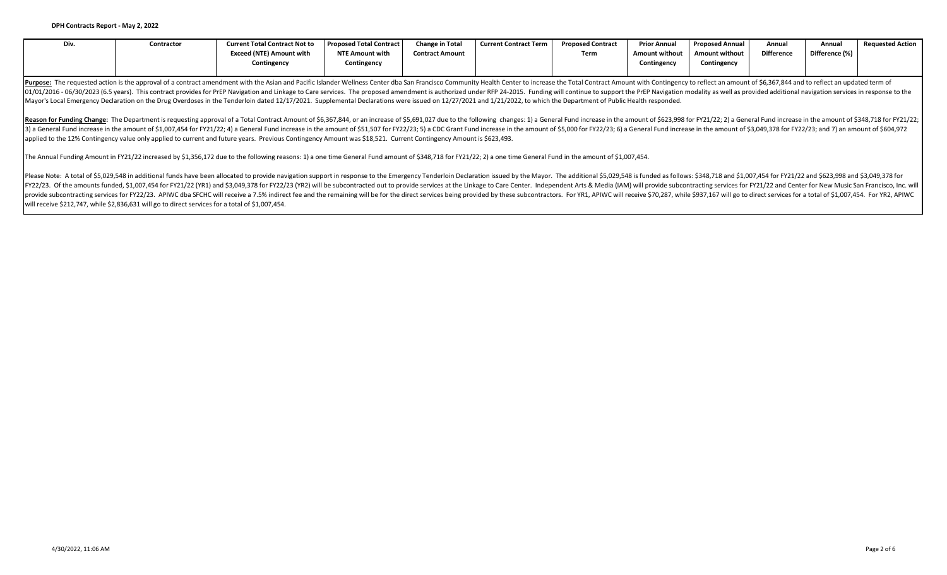| Div.                                                                                                                                                                                                                                                                                                                                                                                                                                                                                                                                                                                                                                                                                                    | Contractor | <b>Current Total Contract Not to</b><br><b>Exceed (NTE) Amount with</b> | <b>Proposed Total Contract</b><br><b>NTE Amount with</b> | <b>Change in Total</b><br><b>Contract Amount</b> | <b>Current Contract Term</b> | <b>Proposed Contract</b><br>Term | <b>Prior Annual</b><br><b>Amount without</b> | <b>Proposed Annual</b><br><b>Amount without</b> | Annual<br><b>Difference</b> | Annual<br>Difference (%) | <b>Requested Action</b> |  |  |
|---------------------------------------------------------------------------------------------------------------------------------------------------------------------------------------------------------------------------------------------------------------------------------------------------------------------------------------------------------------------------------------------------------------------------------------------------------------------------------------------------------------------------------------------------------------------------------------------------------------------------------------------------------------------------------------------------------|------------|-------------------------------------------------------------------------|----------------------------------------------------------|--------------------------------------------------|------------------------------|----------------------------------|----------------------------------------------|-------------------------------------------------|-----------------------------|--------------------------|-------------------------|--|--|
|                                                                                                                                                                                                                                                                                                                                                                                                                                                                                                                                                                                                                                                                                                         |            | Contingency                                                             | Contingency                                              |                                                  |                              |                                  | Contingency                                  | Contingency                                     |                             |                          |                         |  |  |
| Purpose: The requested action is the approval of a contract amendment with the Asian and Pacific Islander Wellness Center dba San Francisco Community Health Center to increase the Total Contract Amount with Contingency to<br>01/01/2016 - 06/30/2023 (6.5 years). This contract provides for PrEP Navigation and Linkage to Care services. The proposed amendment is authorized under RFP 24-2015. Funding will continue to support the PrEP Navigation mod<br>Mayor's Local Emergency Declaration on the Drug Overdoses in the Tenderloin dated 12/17/2021. Supplemental Declarations were issued on 12/27/2021 and 1/21/2022, to which the Department of Public Health responded.                 |            |                                                                         |                                                          |                                                  |                              |                                  |                                              |                                                 |                             |                          |                         |  |  |
| Reason for Funding Change: The Department is requesting approval of a Total Contract Amount of \$6,367,844, or an increase of \$5,691,027 due to the following changes: 1) a General Fund increase in the amount of \$623,998 for<br>3) a General Fund increase in the amount of \$1,007,454 for FY21/22; 4) a General Fund increase in the amount of \$51,507 for FY22/23; 5) a CDC Grant Fund increase in the amount of \$5,000 for FY22/23; 6) a General Fund incre<br>applied to the 12% Contingency value only applied to current and future years. Previous Contingency Amount was \$18,521. Current Contingency Amount is \$623,493.                                                             |            |                                                                         |                                                          |                                                  |                              |                                  |                                              |                                                 |                             |                          |                         |  |  |
| The Annual Funding Amount in FY21/22 increased by \$1,356,172 due to the following reasons: 1) a one time General Fund amount of \$348,718 for FY21/22; 2) a one time General Fund in the amount of \$1,007,454.                                                                                                                                                                                                                                                                                                                                                                                                                                                                                        |            |                                                                         |                                                          |                                                  |                              |                                  |                                              |                                                 |                             |                          |                         |  |  |
| Please Note: A total of \$5,029,548 in additional funds have been allocated to provide navigation support in response to the Emergency Tenderloin Declaration issued by the Mayor. The additional \$5,029,548 is funded as follo<br>FY22/23. Of the amounts funded, \$1,007,454 for FY21/22 (YR1) and \$3,049,378 for FY22/23 (YR2) will be subcontracted out to provide services at the Linkage to Care Center. Independent Arts & Media (IAM) will provide subcont<br>provide subcontracting services for FY22/23. APIWC dba SFCHC will receive a 7.5% indirect fee and the remaining will be for the direct services being provided by these subcontractors. For YR1, APIWC will receive \$70,287, w |            |                                                                         |                                                          |                                                  |                              |                                  |                                              |                                                 |                             |                          |                         |  |  |

will receive \$212,747, while \$2,836,631 will go to direct services for a total of \$1,007,454.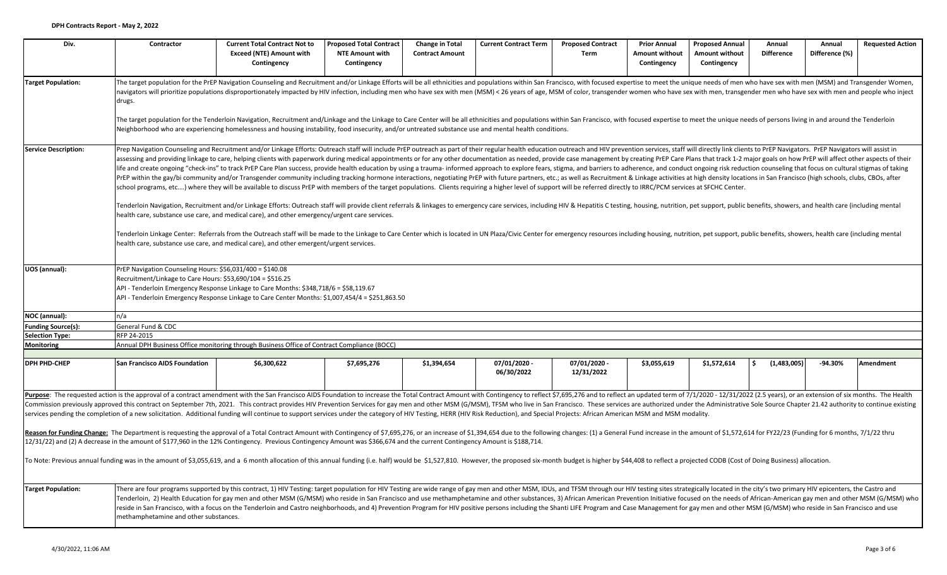| Div.                        | Contractor                                                                                                                                                                                                                                                                                                          | <b>Current Total Contract Not to</b><br><b>Exceed (NTE) Amount with</b><br>Contingency                                                                                                                                                                                                                                                                                                                                                                                                                                                                                                                                                                                                                                                                                                                                                                                                                                                                                                                                                                                                                                                                                                                                                                                                                                                                                                                                                                                                                                                                                                                                                                                                                                                                                                                                        | <b>Proposed Total Contract</b><br><b>NTE Amount with</b><br>Contingency | <b>Change in Total</b><br><b>Contract Amount</b> | <b>Current Contract Term</b> | <b>Proposed Contract</b><br>Term | <b>Prior Annual</b><br>Amount without<br>Contingency | <b>Proposed Annual</b><br>Amount without<br>Contingency | Annual<br><b>Difference</b> | Annual<br>Difference (%) | <b>Requested Action</b> |  |  |
|-----------------------------|---------------------------------------------------------------------------------------------------------------------------------------------------------------------------------------------------------------------------------------------------------------------------------------------------------------------|-------------------------------------------------------------------------------------------------------------------------------------------------------------------------------------------------------------------------------------------------------------------------------------------------------------------------------------------------------------------------------------------------------------------------------------------------------------------------------------------------------------------------------------------------------------------------------------------------------------------------------------------------------------------------------------------------------------------------------------------------------------------------------------------------------------------------------------------------------------------------------------------------------------------------------------------------------------------------------------------------------------------------------------------------------------------------------------------------------------------------------------------------------------------------------------------------------------------------------------------------------------------------------------------------------------------------------------------------------------------------------------------------------------------------------------------------------------------------------------------------------------------------------------------------------------------------------------------------------------------------------------------------------------------------------------------------------------------------------------------------------------------------------------------------------------------------------|-------------------------------------------------------------------------|--------------------------------------------------|------------------------------|----------------------------------|------------------------------------------------------|---------------------------------------------------------|-----------------------------|--------------------------|-------------------------|--|--|
| <b>Target Population:</b>   | drugs.                                                                                                                                                                                                                                                                                                              | The target population for the PrEP Navigation Counseling and Recruitment and/or Linkage Efforts will be all ethnicities and populations within San Francisco, with focused expertise to meet the unique needs of men who have<br>navigators will prioritize populations disproportionately impacted by HIV infection, including men who have sex with men (MSM) < 26 years of age, MSM of color, transgender women who have sex with men, transgender men who h                                                                                                                                                                                                                                                                                                                                                                                                                                                                                                                                                                                                                                                                                                                                                                                                                                                                                                                                                                                                                                                                                                                                                                                                                                                                                                                                                               |                                                                         |                                                  |                              |                                  |                                                      |                                                         |                             |                          |                         |  |  |
|                             |                                                                                                                                                                                                                                                                                                                     | The target population for the Tenderloin Navigation, Recruitment and/Linkage and the Linkage to Care Center will be all ethnicities and populations within San Francisco, with focused expertise to meet the unique needs of p<br>Neighborhood who are experiencing homelessness and housing instability, food insecurity, and/or untreated substance use and mental health conditions.                                                                                                                                                                                                                                                                                                                                                                                                                                                                                                                                                                                                                                                                                                                                                                                                                                                                                                                                                                                                                                                                                                                                                                                                                                                                                                                                                                                                                                       |                                                                         |                                                  |                              |                                  |                                                      |                                                         |                             |                          |                         |  |  |
| <b>Service Description:</b> |                                                                                                                                                                                                                                                                                                                     | Prep Navigation Counseling and Recruitment and/or Linkage Efforts: Outreach staff will include PrEP outreach as part of their regular health education outreach and HIV prevention services, staff will directly link clients<br>assessing and providing linkage to care, helping clients with paperwork during medical appointments or for any other documentation as needed, provide case management by creating PrEP Care Plans that track 1-2 major goals o<br>life and create ongoing "check-ins" to track PrEP Care Plan success, provide health education by using a trauma- informed approach to explore fears, stigma, and barriers to adherence, and conduct ongoing risk reduction cou<br>PrEP within the gay/bi community and/or Transgender community including tracking hormone interactions, negotiating PrEP with future partners, etc.; as well as Recruitment & Linkage activities at high density locations in S<br>school programs, etc) where they will be available to discuss PrEP with members of the target populations. Clients requiring a higher level of support will be referred directly to IRRC/PCM services at SFCHC Center.<br>Tenderloin Navigation, Recruitment and/or Linkage Efforts: Outreach staff will provide client referrals & linkages to emergency care services, including HIV & Hepatitis C testing, housing, nutrition, pet support, public be<br>health care, substance use care, and medical care), and other emergency/urgent care services.<br>Tenderloin Linkage Center: Referrals from the Outreach staff will be made to the Linkage to Care Center which is located in UN Plaza/Civic Center for emergency resources including housing, nutrition, pet support, public be<br>health care, substance use care, and medical care), and other emergent/urgent services. |                                                                         |                                                  |                              |                                  |                                                      |                                                         |                             |                          |                         |  |  |
| UOS (annual):               | PrEP Navigation Counseling Hours: \$56,031/400 = \$140.08<br>Recruitment/Linkage to Care Hours: \$53,690/104 = \$516.25<br>API - Tenderloin Emergency Response Linkage to Care Months: \$348,718/6 = \$58,119.67<br>API - Tenderloin Emergency Response Linkage to Care Center Months: \$1,007,454/4 = \$251,863.50 |                                                                                                                                                                                                                                                                                                                                                                                                                                                                                                                                                                                                                                                                                                                                                                                                                                                                                                                                                                                                                                                                                                                                                                                                                                                                                                                                                                                                                                                                                                                                                                                                                                                                                                                                                                                                                               |                                                                         |                                                  |                              |                                  |                                                      |                                                         |                             |                          |                         |  |  |
| NOC (annual):               | n/a                                                                                                                                                                                                                                                                                                                 |                                                                                                                                                                                                                                                                                                                                                                                                                                                                                                                                                                                                                                                                                                                                                                                                                                                                                                                                                                                                                                                                                                                                                                                                                                                                                                                                                                                                                                                                                                                                                                                                                                                                                                                                                                                                                               |                                                                         |                                                  |                              |                                  |                                                      |                                                         |                             |                          |                         |  |  |
| <b>Funding Source(s):</b>   | General Fund & CDC                                                                                                                                                                                                                                                                                                  |                                                                                                                                                                                                                                                                                                                                                                                                                                                                                                                                                                                                                                                                                                                                                                                                                                                                                                                                                                                                                                                                                                                                                                                                                                                                                                                                                                                                                                                                                                                                                                                                                                                                                                                                                                                                                               |                                                                         |                                                  |                              |                                  |                                                      |                                                         |                             |                          |                         |  |  |
| Selection Type:             | RFP 24-2015                                                                                                                                                                                                                                                                                                         |                                                                                                                                                                                                                                                                                                                                                                                                                                                                                                                                                                                                                                                                                                                                                                                                                                                                                                                                                                                                                                                                                                                                                                                                                                                                                                                                                                                                                                                                                                                                                                                                                                                                                                                                                                                                                               |                                                                         |                                                  |                              |                                  |                                                      |                                                         |                             |                          |                         |  |  |
| <b>Monitoring</b>           |                                                                                                                                                                                                                                                                                                                     | Annual DPH Business Office monitoring through Business Office of Contract Compliance (BOCC)                                                                                                                                                                                                                                                                                                                                                                                                                                                                                                                                                                                                                                                                                                                                                                                                                                                                                                                                                                                                                                                                                                                                                                                                                                                                                                                                                                                                                                                                                                                                                                                                                                                                                                                                   |                                                                         |                                                  |                              |                                  |                                                      |                                                         |                             |                          |                         |  |  |
| <b>DPH PHD-CHEP</b>         | <b>San Francisco AIDS Foundation</b>                                                                                                                                                                                                                                                                                | \$6,300,622                                                                                                                                                                                                                                                                                                                                                                                                                                                                                                                                                                                                                                                                                                                                                                                                                                                                                                                                                                                                                                                                                                                                                                                                                                                                                                                                                                                                                                                                                                                                                                                                                                                                                                                                                                                                                   | \$7,695,276                                                             | \$1,394,654                                      | 07/01/2020 -                 | 07/01/2020 -                     | \$3,055,619                                          | \$1,572,614                                             | (1,483,005)<br>-Ś.          | $-94.30%$                | Amendment               |  |  |
|                             |                                                                                                                                                                                                                                                                                                                     |                                                                                                                                                                                                                                                                                                                                                                                                                                                                                                                                                                                                                                                                                                                                                                                                                                                                                                                                                                                                                                                                                                                                                                                                                                                                                                                                                                                                                                                                                                                                                                                                                                                                                                                                                                                                                               |                                                                         |                                                  | 06/30/2022                   | 12/31/2022                       |                                                      |                                                         |                             |                          |                         |  |  |
|                             |                                                                                                                                                                                                                                                                                                                     | Purpose: The requested action is the approval of a contract amendment with the San Francisco AIDS Foundation to increase the Total Contract Amount with Contingency to reflect \$7,695,276 and to reflect an updated term of 7/<br>Commission previously approved this contract on September 7th, 2021. This contract provides HIV Prevention Services for gay men and other MSM (G/MSM), TFSM who live in San Francisco. These services are authorized under the<br>services pending the completion of a new solicitation. Additional funding will continue to support services under the category of HIV Testing, HERR (HIV Risk Reduction), and Special Projects: African American MSM and MSM m<br>Reason for Funding Change: The Department is requesting the approval of a Total Contract Amount with Contingency of \$7,695,276, or an increase of \$1,394,654 due to the following changes: (1) a General Fund increase in the<br>12/31/22) and (2) A decrease in the amount of \$177,960 in the 12% Contingency. Previous Contingency Amount was \$366,674 and the current Contingency Amount is \$188,714.<br>To Note: Previous annual funding was in the amount of \$3,055,619, and a 6 month allocation of this annual funding (i.e. half) would be \$1,527,810. However, the proposed six-month budget is higher by \$44,408 to reflect a pr                                                                                                                                                                                                                                                                                                                                                                                                                                                                     |                                                                         |                                                  |                              |                                  |                                                      |                                                         |                             |                          |                         |  |  |
| <b>Target Population:</b>   | methamphetamine and other substances.                                                                                                                                                                                                                                                                               | There are four programs supported by this contract, 1) HIV Testing: target population for HIV Testing are wide range of gay men and other MSM, IDUs, and TFSM through our HIV testing sites strategically located in the city'<br>Tenderloin, 2) Health Education for gay men and other MSM (G/MSM) who reside in San Francisco and use methamphetamine and other substances, 3) African American Prevention Initiative focused on the needs of African-American<br>reside in San Francisco, with a focus on the Tenderloin and Castro neighborhoods, and 4) Prevention Program for HIV positive persons including the Shanti LIFE Program and Case Management for gay men and other MSM (G/MSM) w                                                                                                                                                                                                                                                                                                                                                                                                                                                                                                                                                                                                                                                                                                                                                                                                                                                                                                                                                                                                                                                                                                                            |                                                                         |                                                  |                              |                                  |                                                      |                                                         |                             |                          |                         |  |  |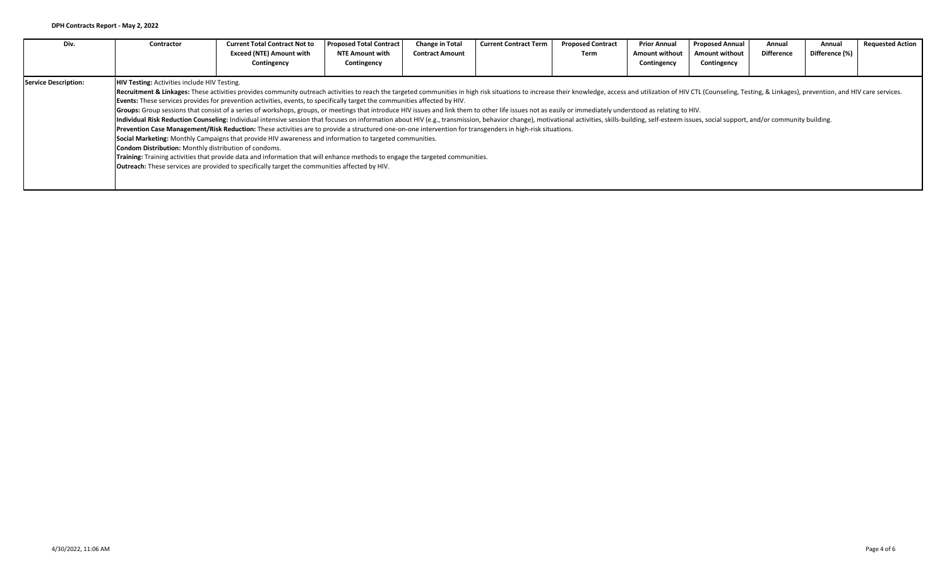| Div.                 | Contractor                                                                                                                                                                                                                                                                                                                                                                                                                                                                                                                                                                                                                                                                                                                                                                                                                                                                                                                                                                                                                                                                                                                                                                                                                                                                                                                                                                                                                                   | <b>Current Total Contract Not to</b><br><b>Exceed (NTE) Amount with</b><br>Contingency | <b>Proposed Total Contract</b><br>NTE Amount with<br>Contingency | <b>Change in Total</b><br><b>Contract Amount</b> | <b>Current Contract Term</b> | <b>Proposed Contract</b><br>Term | <b>Prior Annual</b><br><b>Amount without</b><br>Contingency | <b>Proposed Annual</b><br><b>Amount without</b><br>Contingency | Annual<br><b>Difference</b> | Annual<br>Difference (%) | <b>Requested Action</b> |  |  |
|----------------------|----------------------------------------------------------------------------------------------------------------------------------------------------------------------------------------------------------------------------------------------------------------------------------------------------------------------------------------------------------------------------------------------------------------------------------------------------------------------------------------------------------------------------------------------------------------------------------------------------------------------------------------------------------------------------------------------------------------------------------------------------------------------------------------------------------------------------------------------------------------------------------------------------------------------------------------------------------------------------------------------------------------------------------------------------------------------------------------------------------------------------------------------------------------------------------------------------------------------------------------------------------------------------------------------------------------------------------------------------------------------------------------------------------------------------------------------|----------------------------------------------------------------------------------------|------------------------------------------------------------------|--------------------------------------------------|------------------------------|----------------------------------|-------------------------------------------------------------|----------------------------------------------------------------|-----------------------------|--------------------------|-------------------------|--|--|
| Service Description: | <b>HIV Testing: Activities include HIV Testing.</b><br>Recruitment & Linkages: These activities provides community outreach activities to reach the targeted communities in high risk situations to increase their knowledge, access and utilization of HIV CTL (Counseling, Testing,<br>Events: These services provides for prevention activities, events, to specifically target the communities affected by HIV.<br>Groups: Group sessions that consist of a series of workshops, groups, or meetings that introduce HIV issues and link them to other life issues not as easily or immediately understood as relating to HIV.<br>Individual Risk Reduction Counseling: Individual intensive session that focuses on information about HIV (e.g., transmission, behavior change), motivational activities, skills-building, self-esteem issues, social support,<br>Prevention Case Management/Risk Reduction: These activities are to provide a structured one-on-one intervention for transgenders in high-risk situations.<br>Social Marketing: Monthly Campaigns that provide HIV awareness and information to targeted communities.<br>Condom Distribution: Monthly distribution of condoms.<br>Training: Training activities that provide data and information that will enhance methods to engage the targeted communities.<br><b>Outreach:</b> These services are provided to specifically target the communities affected by HIV. |                                                                                        |                                                                  |                                                  |                              |                                  |                                                             |                                                                |                             |                          |                         |  |  |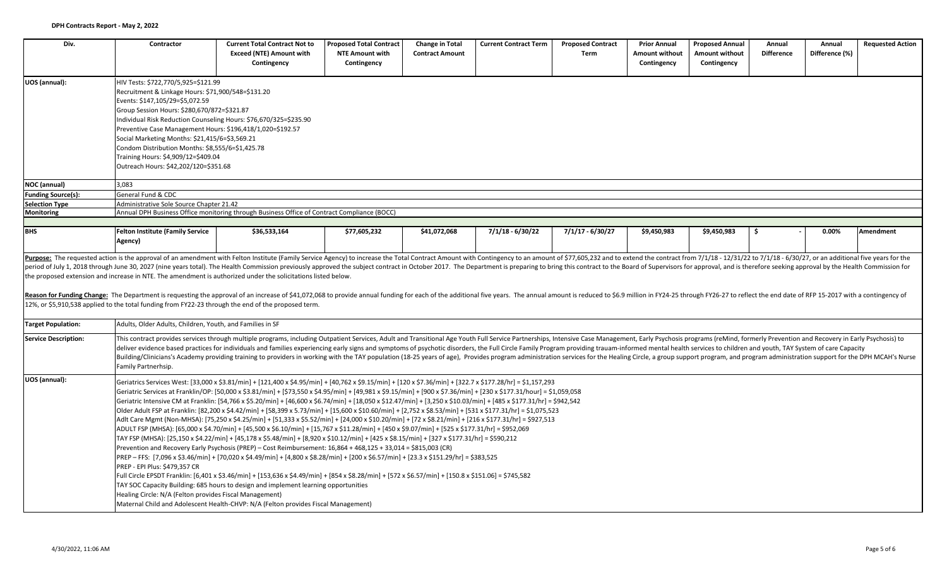| Div.                        | Contractor                                                                                                                                                                                                                                                                                                                                                                                                                      | <b>Current Total Contract Not to</b><br><b>Exceed (NTE) Amount with</b><br>Contingency                                                                                                                                                                                                                                                                                                                                                                                                                                                                                                                                                                                                                                                                                                                                                                                                                                                                                                                                                                                                                                                     | <b>Proposed Total Contract</b><br><b>NTE Amount with</b><br>Contingency | <b>Change in Total</b><br><b>Contract Amount</b> | <b>Current Contract Term</b> | <b>Proposed Contract</b><br>Term | <b>Prior Annual</b><br>Amount without<br>Contingency | <b>Proposed Annual</b><br><b>Amount without</b><br>Contingency | Annual<br><b>Difference</b> | Annual<br>Difference (%) | <b>Requested Action</b> |
|-----------------------------|---------------------------------------------------------------------------------------------------------------------------------------------------------------------------------------------------------------------------------------------------------------------------------------------------------------------------------------------------------------------------------------------------------------------------------|--------------------------------------------------------------------------------------------------------------------------------------------------------------------------------------------------------------------------------------------------------------------------------------------------------------------------------------------------------------------------------------------------------------------------------------------------------------------------------------------------------------------------------------------------------------------------------------------------------------------------------------------------------------------------------------------------------------------------------------------------------------------------------------------------------------------------------------------------------------------------------------------------------------------------------------------------------------------------------------------------------------------------------------------------------------------------------------------------------------------------------------------|-------------------------------------------------------------------------|--------------------------------------------------|------------------------------|----------------------------------|------------------------------------------------------|----------------------------------------------------------------|-----------------------------|--------------------------|-------------------------|
| UOS (annual):               | HIV Tests: \$722,770/5,925=\$121.99<br>Recruitment & Linkage Hours: \$71,900/548=\$131.20<br>Events: \$147,105/29=\$5,072.59<br>Group Session Hours: \$280,670/872=\$321.87<br>Preventive Case Management Hours: \$196,418/1,020=\$192.57<br>Social Marketing Months: \$21,415/6=\$3,569.21<br>Condom Distribution Months: \$8,555/6=\$1,425.78<br>Training Hours: \$4,909/12=\$409.04<br>Outreach Hours: \$42,202/120=\$351.68 | Individual Risk Reduction Counseling Hours: \$76,670/325=\$235.90                                                                                                                                                                                                                                                                                                                                                                                                                                                                                                                                                                                                                                                                                                                                                                                                                                                                                                                                                                                                                                                                          |                                                                         |                                                  |                              |                                  |                                                      |                                                                |                             |                          |                         |
| NOC (annual)                | 3.083                                                                                                                                                                                                                                                                                                                                                                                                                           |                                                                                                                                                                                                                                                                                                                                                                                                                                                                                                                                                                                                                                                                                                                                                                                                                                                                                                                                                                                                                                                                                                                                            |                                                                         |                                                  |                              |                                  |                                                      |                                                                |                             |                          |                         |
| <b>Funding Source(s):</b>   | General Fund & CDC                                                                                                                                                                                                                                                                                                                                                                                                              |                                                                                                                                                                                                                                                                                                                                                                                                                                                                                                                                                                                                                                                                                                                                                                                                                                                                                                                                                                                                                                                                                                                                            |                                                                         |                                                  |                              |                                  |                                                      |                                                                |                             |                          |                         |
| <b>Selection Type</b>       | Administrative Sole Source Chapter 21.42                                                                                                                                                                                                                                                                                                                                                                                        |                                                                                                                                                                                                                                                                                                                                                                                                                                                                                                                                                                                                                                                                                                                                                                                                                                                                                                                                                                                                                                                                                                                                            |                                                                         |                                                  |                              |                                  |                                                      |                                                                |                             |                          |                         |
| <b>Monitoring</b>           |                                                                                                                                                                                                                                                                                                                                                                                                                                 | Annual DPH Business Office monitoring through Business Office of Contract Compliance (BOCC)                                                                                                                                                                                                                                                                                                                                                                                                                                                                                                                                                                                                                                                                                                                                                                                                                                                                                                                                                                                                                                                |                                                                         |                                                  |                              |                                  |                                                      |                                                                |                             |                          |                         |
| <b>BHS</b>                  | <b>Felton Institute (Family Service</b>                                                                                                                                                                                                                                                                                                                                                                                         | \$36,533,164                                                                                                                                                                                                                                                                                                                                                                                                                                                                                                                                                                                                                                                                                                                                                                                                                                                                                                                                                                                                                                                                                                                               | \$77,605,232                                                            | \$41,072,068                                     | $7/1/18 - 6/30/22$           | $7/1/17 - 6/30/27$               | \$9,450,983                                          | \$9,450,983                                                    | Ŝ.                          | 0.00%                    | <b>Amendment</b>        |
|                             | Agency)                                                                                                                                                                                                                                                                                                                                                                                                                         |                                                                                                                                                                                                                                                                                                                                                                                                                                                                                                                                                                                                                                                                                                                                                                                                                                                                                                                                                                                                                                                                                                                                            |                                                                         |                                                  |                              |                                  |                                                      |                                                                |                             |                          |                         |
| <b>Target Population:</b>   | Reason for Funding Change: The Department is requesting the approval of an increase of \$41,072,068 to provide annual funding for each of the additional five years. The annual amount is reduced to \$6.9 million in FY24-25 th<br>12%, or \$5,910,538 applied to the total funding from FY22-23 through the end of the proposed term.<br>Adults, Older Adults, Children, Youth, and Families in SF                            |                                                                                                                                                                                                                                                                                                                                                                                                                                                                                                                                                                                                                                                                                                                                                                                                                                                                                                                                                                                                                                                                                                                                            |                                                                         |                                                  |                              |                                  |                                                      |                                                                |                             |                          |                         |
|                             |                                                                                                                                                                                                                                                                                                                                                                                                                                 |                                                                                                                                                                                                                                                                                                                                                                                                                                                                                                                                                                                                                                                                                                                                                                                                                                                                                                                                                                                                                                                                                                                                            |                                                                         |                                                  |                              |                                  |                                                      |                                                                |                             |                          |                         |
| <b>Service Description:</b> | Family Partnerhsip.                                                                                                                                                                                                                                                                                                                                                                                                             | This contract provides services through multiple programs, including Outpatient Services, Adult and Transitional Age Youth Full Service Partnerships, Intensive Case Management, Early Psychosis programs (reMind, formerly Pr<br>deliver evidence based practices for individuals and families experiencing early signs and symptoms of psychotic disorders, the Full Circle Family Program providing trauam-informed mental health services to children and yo<br>Building/Clinicians's Academy providing training to providers in working with the TAY population (18-25 years of age), Provides program administration services for the Healing Circle, a group support program, and program a                                                                                                                                                                                                                                                                                                                                                                                                                                         |                                                                         |                                                  |                              |                                  |                                                      |                                                                |                             |                          |                         |
| UOS (annual):               | Prevention and Recovery Early Psychosis (PREP) - Cost Reimbursement: 16,864 + 468,125 + 33,014 = \$815,003 (CR)                                                                                                                                                                                                                                                                                                                 | Geriatrics Services West: [33,000 x \$3.81/min] + [121,400 x \$4.95/min] + [40,762 x \$9.15/min] + [120 x \$7.36/min] + [322.7 x \$177.28/hr] = \$1,157,293<br>Geriatric Services at Franklin/OP: [50,000 x \$3.81/min] + [\$73,550 x \$4.95/min] + [49,981 x \$9.15/min] + [900 x \$7.36/min] + [230 x \$177.31/hour] = \$1,059,058<br>Geriatric Intensive CM at Franklin: [54,766 x \$5.20/min] + [46,600 x \$6.74/min] + [18,050 x \$12.47/min] + [3,250 x \$10.03/min] + [485 x \$177.31/hr] = \$942,542<br>Older Adult FSP at Franklin: [82,200 x \$4.42/min] + [58,399 x 5.73/min] + [15,600 x \$10.60/min] + [2,752 x \$8.53/min] + [531 x \$177.31/hr] = \$1,075,523<br>Adlt Care Mgmt (Non-MHSA): [75,250 x \$4.25/min] + [51,333 x \$5.52/min] + [24,000 x \$10.20/min] + [72 x \$8.21/min] + [216 x \$177.31/hr] = \$927,513<br>ADULT FSP (MHSA): [65,000 x \$4.70/min] + [45,500 x \$6.10/min] + [15,767 x \$11.28/min] + [450 x \$9.07/min] + [525 x \$177.31/hr] = \$952,069<br>TAY FSP (MHSA): [25,150 x \$4.22/min] + [45,178 x \$5.48/min] + [8,920 x \$10.12/min] + [425 x \$8.15/min] + [327 x \$177.31/hr] = \$590,212 |                                                                         |                                                  |                              |                                  |                                                      |                                                                |                             |                          |                         |